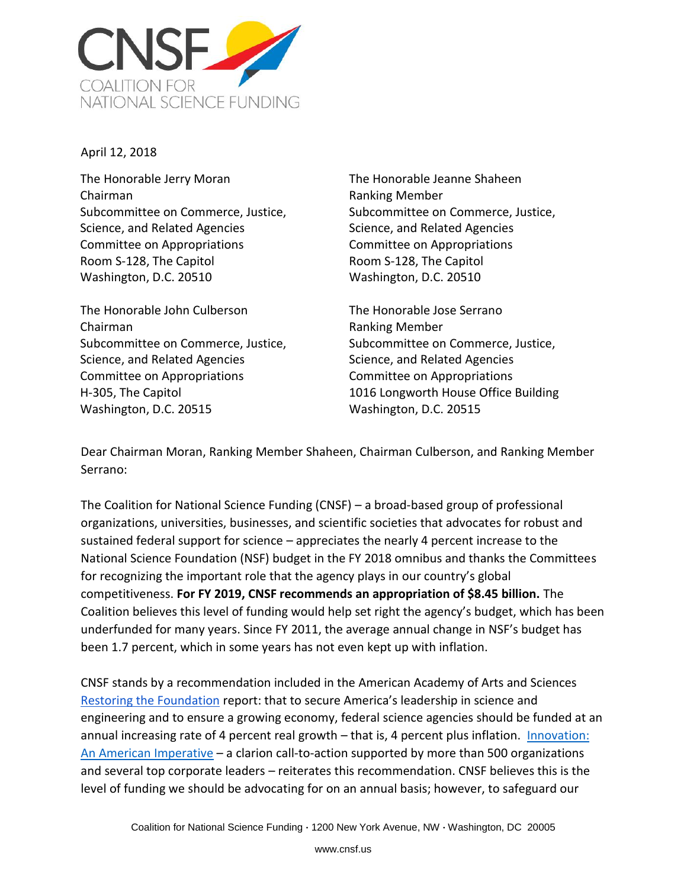

April 12, 2018

The Honorable Jerry Moran Chairman Subcommittee on Commerce, Justice, Science, and Related Agencies Committee on Appropriations Room S-128, The Capitol Washington, D.C. 20510

The Honorable John Culberson Chairman Subcommittee on Commerce, Justice, Science, and Related Agencies Committee on Appropriations H-305, The Capitol Washington, D.C. 20515

The Honorable Jeanne Shaheen Ranking Member Subcommittee on Commerce, Justice, Science, and Related Agencies Committee on Appropriations Room S-128, The Capitol Washington, D.C. 20510

The Honorable Jose Serrano Ranking Member Subcommittee on Commerce, Justice, Science, and Related Agencies Committee on Appropriations 1016 Longworth House Office Building Washington, D.C. 20515

Dear Chairman Moran, Ranking Member Shaheen, Chairman Culberson, and Ranking Member Serrano:

The Coalition for National Science Funding (CNSF) – a broad-based group of professional organizations, universities, businesses, and scientific societies that advocates for robust and sustained federal support for science – appreciates the nearly 4 percent increase to the National Science Foundation (NSF) budget in the FY 2018 omnibus and thanks the Committees for recognizing the important role that the agency plays in our country's global competitiveness. **For FY 2019, CNSF recommends an appropriation of \$8.45 billion.** The Coalition believes this level of funding would help set right the agency's budget, which has been underfunded for many years. Since FY 2011, the average annual change in NSF's budget has been 1.7 percent, which in some years has not even kept up with inflation.

CNSF stands by a recommendation included in the American Academy of Arts and Sciences [Restoring the Foundation](http://www.amacad.org/content/Research/researchproject.aspx?d=1276) report: that to secure America's leadership in science and engineering and to ensure a growing economy, federal science agencies should be funded at an annual increasing rate of 4 percent real growth – that is, 4 percent plus inflation. [Innovation:](http://www.amacad.org/content/innovationimperative/)  [An American Imperative](http://www.amacad.org/content/innovationimperative/) – a clarion call-to-action supported by more than 500 organizations and several top corporate leaders – reiterates this recommendation. CNSF believes this is the level of funding we should be advocating for on an annual basis; however, to safeguard our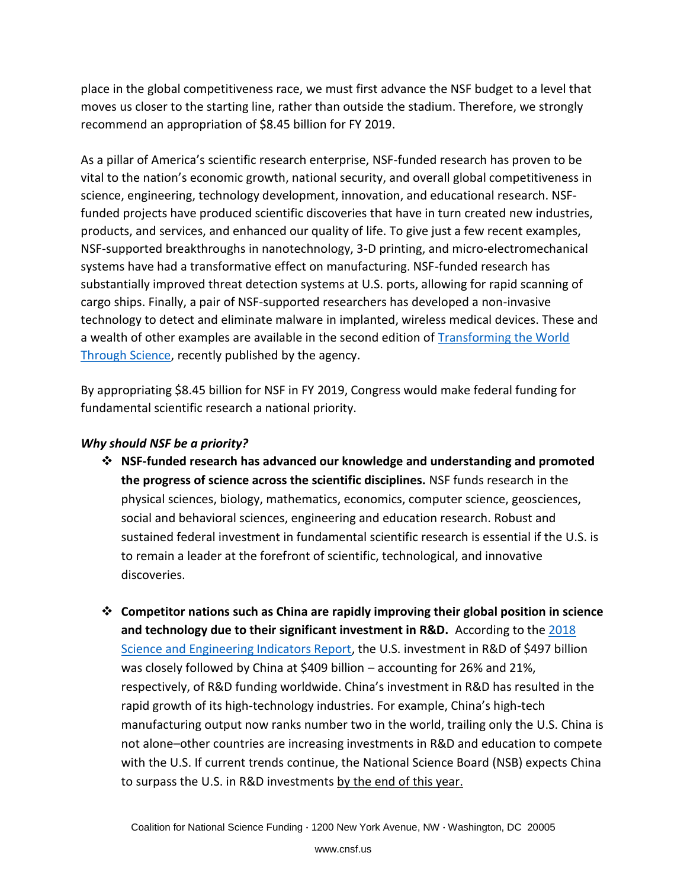place in the global competitiveness race, we must first advance the NSF budget to a level that moves us closer to the starting line, rather than outside the stadium. Therefore, we strongly recommend an appropriation of \$8.45 billion for FY 2019.

As a pillar of America's scientific research enterprise, NSF-funded research has proven to be vital to the nation's economic growth, national security, and overall global competitiveness in science, engineering, technology development, innovation, and educational research. NSFfunded projects have produced scientific discoveries that have in turn created new industries, products, and services, and enhanced our quality of life. To give just a few recent examples, NSF-supported breakthroughs in nanotechnology, 3-D printing, and micro-electromechanical systems have had a transformative effect on manufacturing. NSF-funded research has substantially improved threat detection systems at U.S. ports, allowing for rapid scanning of cargo ships. Finally, a pair of NSF-supported researchers has developed a non-invasive technology to detect and eliminate malware in implanted, wireless medical devices. These and a wealth of other examples are available in the second edition of [Transforming the World](https://www.nsf.gov/about/congress/reports/transforming2018.pdf)  [Through Science,](https://www.nsf.gov/about/congress/reports/transforming2018.pdf) recently published by the agency.

By appropriating \$8.45 billion for NSF in FY 2019, Congress would make federal funding for fundamental scientific research a national priority.

## *Why should NSF be a priority?*

- ❖ **NSF-funded research has advanced our knowledge and understanding and promoted the progress of science across the scientific disciplines.** NSF funds research in the physical sciences, biology, mathematics, economics, computer science, geosciences, social and behavioral sciences, engineering and education research. Robust and sustained federal investment in fundamental scientific research is essential if the U.S. is to remain a leader at the forefront of scientific, technological, and innovative discoveries.
- ❖ **Competitor nations such as China are rapidly improving their global position in science and technology due to their significant investment in R&D.** According to the [2018](https://www.nsf.gov/statistics/2018/nsb20181/)  [Science and Engineering Indicators Report,](https://www.nsf.gov/statistics/2018/nsb20181/) the U.S. investment in R&D of \$497 billion was closely followed by China at \$409 billion – accounting for 26% and 21%, respectively, of R&D funding worldwide. China's investment in R&D has resulted in the rapid growth of its high-technology industries. For example, China's high-tech manufacturing output now ranks number two in the world, trailing only the U.S. China is not alone–other countries are increasing investments in R&D and education to compete with the U.S. If current trends continue, the National Science Board (NSB) expects China to surpass the U.S. in R&D investments by the end of this year.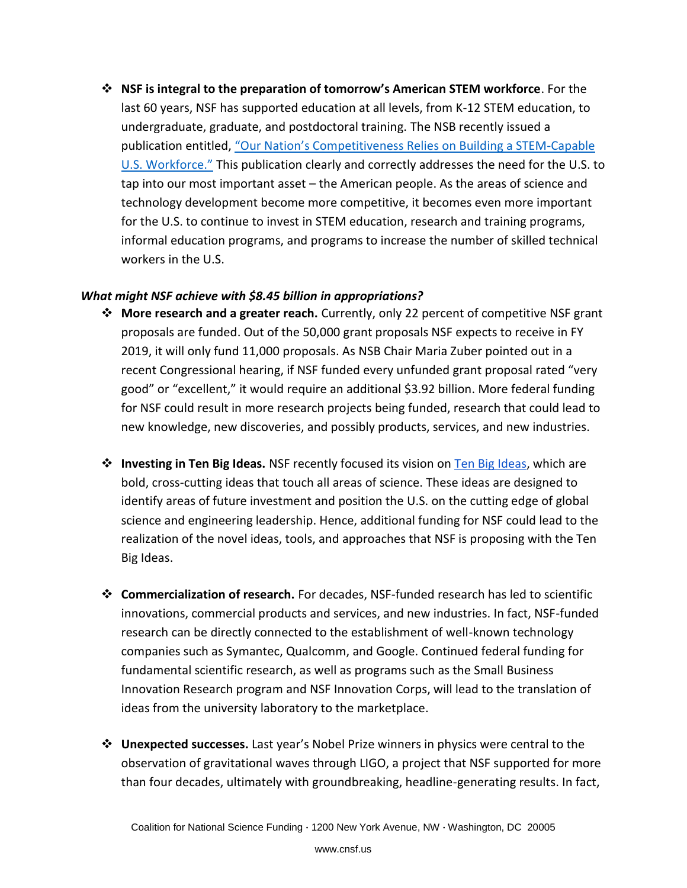❖ **NSF is integral to the preparation of tomorrow's American STEM workforce**. For the last 60 years, NSF has supported education at all levels, from K-12 STEM education, to undergraduate, graduate, and postdoctoral training. The NSB recently issued a publication entitled, "Our Nation's Com[petitiveness Relies on Building a STEM-Capable](https://www.nsf.gov/nsb/sei/companion-brief/NSB-2018-7.pdf)  [U.S. Workforce."](https://www.nsf.gov/nsb/sei/companion-brief/NSB-2018-7.pdf) This publication clearly and correctly addresses the need for the U.S. to tap into our most important asset – the American people. As the areas of science and technology development become more competitive, it becomes even more important for the U.S. to continue to invest in STEM education, research and training programs, informal education programs, and programs to increase the number of skilled technical workers in the U.S.

## *What might NSF achieve with \$8.45 billion in appropriations?*

- ❖ **More research and a greater reach.** Currently, only 22 percent of competitive NSF grant proposals are funded. Out of the 50,000 grant proposals NSF expects to receive in FY 2019, it will only fund 11,000 proposals. As NSB Chair Maria Zuber pointed out in a recent Congressional hearing, if NSF funded every unfunded grant proposal rated "very good" or "excellent," it would require an additional \$3.92 billion. More federal funding for NSF could result in more research projects being funded, research that could lead to new knowledge, new discoveries, and possibly products, services, and new industries.
- ❖ **Investing in Ten Big Ideas.** NSF recently focused its vision on [Ten Big Ideas,](https://www.nsf.gov/news/special_reports/big_ideas/) which are bold, cross-cutting ideas that touch all areas of science. These ideas are designed to identify areas of future investment and position the U.S. on the cutting edge of global science and engineering leadership. Hence, additional funding for NSF could lead to the realization of the novel ideas, tools, and approaches that NSF is proposing with the Ten Big Ideas.
- ❖ **Commercialization of research.** For decades, NSF-funded research has led to scientific innovations, commercial products and services, and new industries. In fact, NSF-funded research can be directly connected to the establishment of well-known technology companies such as Symantec, Qualcomm, and Google. Continued federal funding for fundamental scientific research, as well as programs such as the Small Business Innovation Research program and NSF Innovation Corps, will lead to the translation of ideas from the university laboratory to the marketplace.
- ❖ **Unexpected successes.** Last year's Nobel Prize winners in physics were central to the observation of gravitational waves through LIGO, a project that NSF supported for more than four decades, ultimately with groundbreaking, headline-generating results. In fact,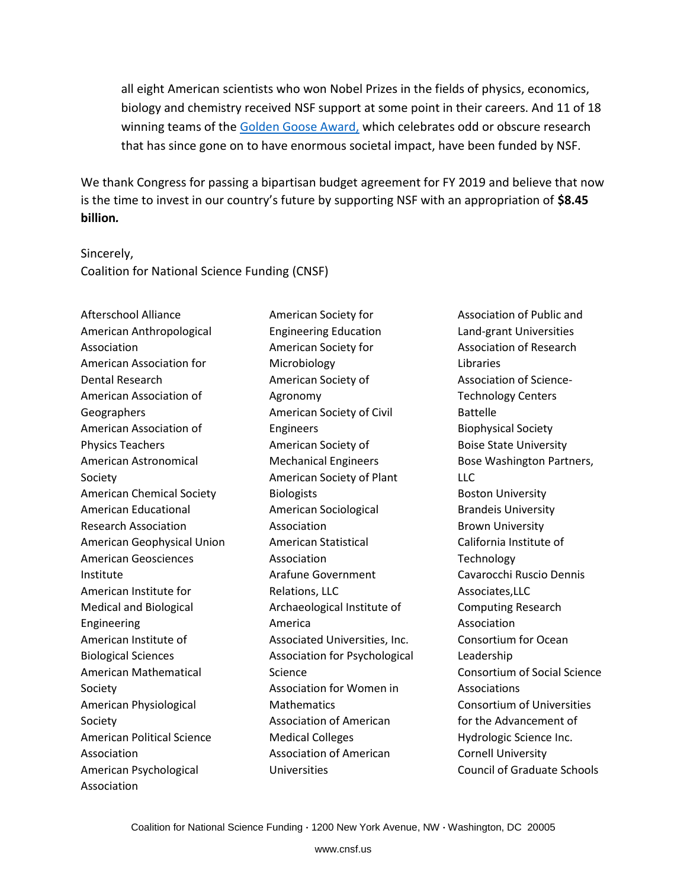all eight American scientists who won Nobel Prizes in the fields of physics, economics, biology and chemistry received NSF support at some point in their careers. And 11 of 18 winning teams of the [Golden Goose Award,](https://www.goldengooseaward.org/) which celebrates odd or obscure research that has since gone on to have enormous societal impact, have been funded by NSF.

We thank Congress for passing a bipartisan budget agreement for FY 2019 and believe that now is the time to invest in our country's future by supporting NSF with an appropriation of **\$8.45 billion***.*

## Sincerely, Coalition for National Science Funding (CNSF)

Afterschool Alliance American Anthropological Association American Association for Dental Research American Association of **Geographers** American Association of Physics Teachers American Astronomical Society American Chemical Society American Educational Research Association American Geophysical Union American Geosciences Institute American Institute for Medical and Biological Engineering American Institute of Biological Sciences American Mathematical Society American Physiological Society American Political Science Association American Psychological Association

American Society for Engineering Education American Society for Microbiology American Society of Agronomy American Society of Civil Engineers American Society of Mechanical Engineers American Society of Plant **Biologists** American Sociological Association American Statistical Association Arafune Government Relations, LLC Archaeological Institute of America Associated Universities, Inc. Association for Psychological Science Association for Women in **Mathematics** Association of American Medical Colleges Association of American Universities

Association of Public and Land-grant Universities Association of Research Libraries Association of Science-Technology Centers Battelle Biophysical Society Boise State University Bose Washington Partners, LLC Boston University Brandeis University Brown University California Institute of **Technology** Cavarocchi Ruscio Dennis Associates,LLC Computing Research Association Consortium for Ocean Leadership Consortium of Social Science Associations Consortium of Universities for the Advancement of Hydrologic Science Inc. Cornell University Council of Graduate Schools